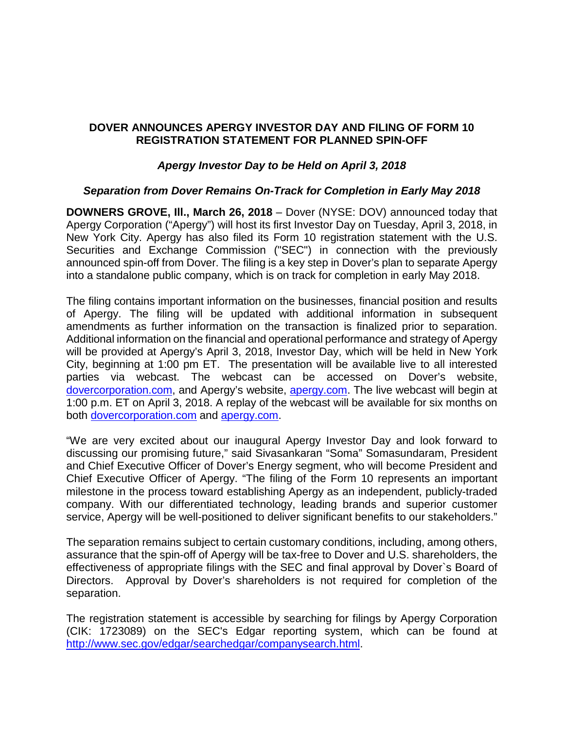# **DOVER ANNOUNCES APERGY INVESTOR DAY AND FILING OF FORM 10 REGISTRATION STATEMENT FOR PLANNED SPIN-OFF**

## *Apergy Investor Day to be Held on April 3, 2018*

### *Separation from Dover Remains On-Track for Completion in Early May 2018*

**DOWNERS GROVE, Ill., March 26, 2018** – Dover (NYSE: DOV) announced today that Apergy Corporation ("Apergy") will host its first Investor Day on Tuesday, April 3, 2018, in New York City. Apergy has also filed its Form 10 registration statement with the U.S. Securities and Exchange Commission ("SEC") in connection with the previously announced spin-off from Dover. The filing is a key step in Dover's plan to separate Apergy into a standalone public company, which is on track for completion in early May 2018.

The filing contains important information on the businesses, financial position and results of Apergy. The filing will be updated with additional information in subsequent amendments as further information on the transaction is finalized prior to separation. Additional information on the financial and operational performance and strategy of Apergy will be provided at Apergy's April 3, 2018, Investor Day, which will be held in New York City, beginning at 1:00 pm ET. The presentation will be available live to all interested parties via webcast. The webcast can be accessed on Dover's website, [dovercorporation.com,](http://dovercorporation.com/) and Apergy's website, [apergy.com.](https://www.apergy.com/) The live webcast will begin at 1:00 p.m. ET on April 3, 2018. A replay of the webcast will be available for six months on both [dovercorporation.com](https://www.dovercorporation.com/) and [apergy.com.](https://www.apergy.com/)

"We are very excited about our inaugural Apergy Investor Day and look forward to discussing our promising future," said Sivasankaran "Soma" Somasundaram, President and Chief Executive Officer of Dover's Energy segment, who will become President and Chief Executive Officer of Apergy. "The filing of the Form 10 represents an important milestone in the process toward establishing Apergy as an independent, publicly-traded company. With our differentiated technology, leading brands and superior customer service, Apergy will be well-positioned to deliver significant benefits to our stakeholders."

The separation remains subject to certain customary conditions, including, among others, assurance that the spin-off of Apergy will be tax-free to Dover and U.S. shareholders, the effectiveness of appropriate filings with the SEC and final approval by Dover`s Board of Directors. Approval by Dover's shareholders is not required for completion of the separation.

The registration statement is accessible by searching for filings by Apergy Corporation (CIK: 1723089) on the SEC's Edgar reporting system, which can be found at [http://www.sec.gov/edgar/searchedgar/companysearch.html.](http://www.sec.gov/edgar/searchedgar/companysearch.html)